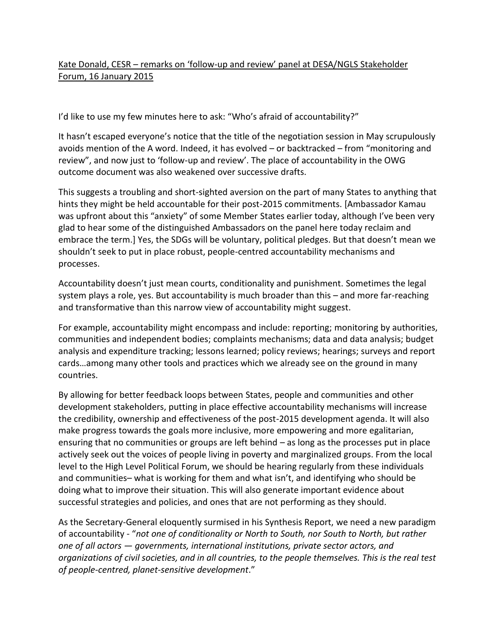## Kate Donald, CESR – remarks on 'follow-up and review' panel at DESA/NGLS Stakeholder Forum, 16 January 2015

I'd like to use my few minutes here to ask: "Who's afraid of accountability?"

It hasn't escaped everyone's notice that the title of the negotiation session in May scrupulously avoids mention of the A word. Indeed, it has evolved – or backtracked – from "monitoring and review", and now just to 'follow-up and review'. The place of accountability in the OWG outcome document was also weakened over successive drafts.

This suggests a troubling and short-sighted aversion on the part of many States to anything that hints they might be held accountable for their post-2015 commitments. [Ambassador Kamau was upfront about this "anxiety" of some Member States earlier today, although I've been very glad to hear some of the distinguished Ambassadors on the panel here today reclaim and embrace the term.] Yes, the SDGs will be voluntary, political pledges. But that doesn't mean we shouldn't seek to put in place robust, people-centred accountability mechanisms and processes.

Accountability doesn't just mean courts, conditionality and punishment. Sometimes the legal system plays a role, yes. But accountability is much broader than this – and more far-reaching and transformative than this narrow view of accountability might suggest.

For example, accountability might encompass and include: reporting; monitoring by authorities, communities and independent bodies; complaints mechanisms; data and data analysis; budget analysis and expenditure tracking; lessons learned; policy reviews; hearings; surveys and report cards…among many other tools and practices which we already see on the ground in many countries.

By allowing for better feedback loops between States, people and communities and other development stakeholders, putting in place effective accountability mechanisms will increase the credibility, ownership and effectiveness of the post-2015 development agenda. It will also make progress towards the goals more inclusive, more empowering and more egalitarian, ensuring that no communities or groups are left behind – as long as the processes put in place actively seek out the voices of people living in poverty and marginalized groups. From the local level to the High Level Political Forum, we should be hearing regularly from these individuals and communities– what is working for them and what isn't, and identifying who should be doing what to improve their situation. This will also generate important evidence about successful strategies and policies, and ones that are not performing as they should.

As the Secretary-General eloquently surmised in his Synthesis Report, we need a new paradigm of accountability - "*not one of conditionality or North to South, nor South to North, but rather one of all actors — governments, international institutions, private sector actors, and organizations of civil societies, and in all countries, to the people themselves. This is the real test of people-centred, planet-sensitive development*."